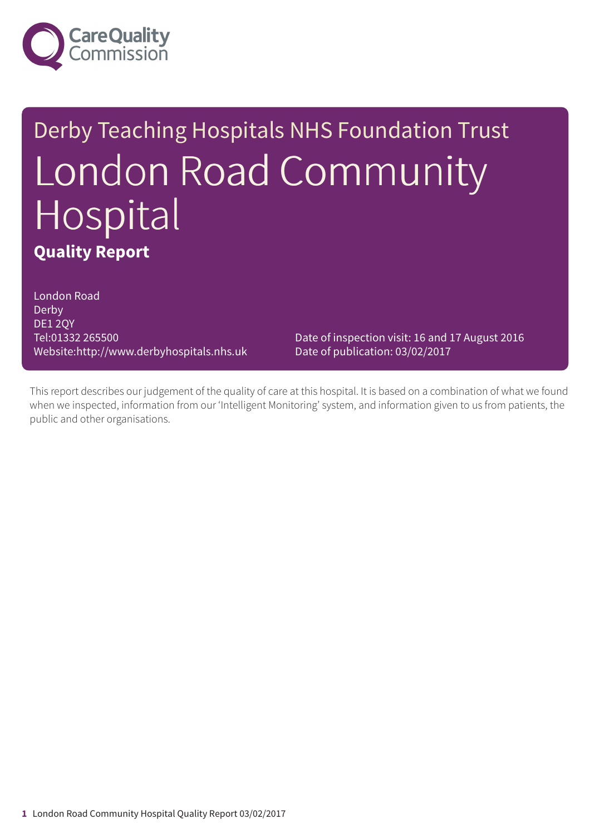

# Derby Teaching Hospitals NHS Foundation Trust London Road Community Hospital **Quality Report**

London Road Derby DE1 2QY Tel:01332 265500 Website:http://www.derbyhospitals.nhs.uk

Date of inspection visit: 16 and 17 August 2016 Date of publication: 03/02/2017

This report describes our judgement of the quality of care at this hospital. It is based on a combination of what we found when we inspected, information from our 'Intelligent Monitoring' system, and information given to us from patients, the public and other organisations.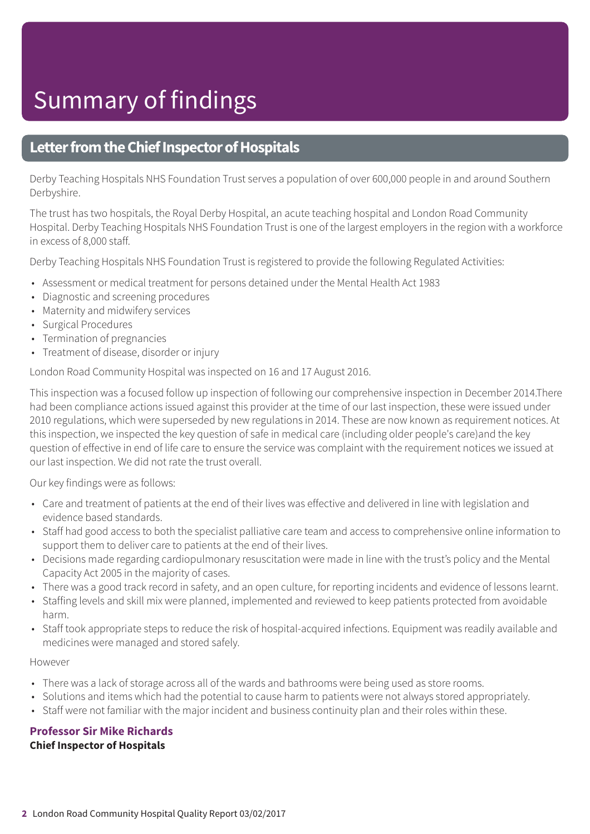# Summary of findings

### **Letter from the Chief Inspector of Hospitals**

Derby Teaching Hospitals NHS Foundation Trust serves a population of over 600,000 people in and around Southern Derbyshire.

The trust has two hospitals, the Royal Derby Hospital, an acute teaching hospital and London Road Community Hospital. Derby Teaching Hospitals NHS Foundation Trust is one of the largest employers in the region with a workforce in excess of 8,000 staff.

Derby Teaching Hospitals NHS Foundation Trust is registered to provide the following Regulated Activities:

- Assessment or medical treatment for persons detained under the Mental Health Act 1983
- Diagnostic and screening procedures
- Maternity and midwifery services
- Surgical Procedures
- Termination of pregnancies
- Treatment of disease, disorder or injury

London Road Community Hospital was inspected on 16 and 17 August 2016.

This inspection was a focused follow up inspection of following our comprehensive inspection in December 2014.There had been compliance actions issued against this provider at the time of our last inspection, these were issued under 2010 regulations, which were superseded by new regulations in 2014. These are now known as requirement notices. At this inspection, we inspected the key question of safe in medical care (including older people's care)and the key question of effective in end of life care to ensure the service was complaint with the requirement notices we issued at our last inspection. We did not rate the trust overall.

Our key findings were as follows:

- Care and treatment of patients at the end of their lives was effective and delivered in line with legislation and evidence based standards.
- Staff had good access to both the specialist palliative care team and access to comprehensive online information to support them to deliver care to patients at the end of their lives.
- Decisions made regarding cardiopulmonary resuscitation were made in line with the trust's policy and the Mental Capacity Act 2005 in the majority of cases.
- There was a good track record in safety, and an open culture, for reporting incidents and evidence of lessons learnt.
- Staffing levels and skill mix were planned, implemented and reviewed to keep patients protected from avoidable harm.
- Staff took appropriate steps to reduce the risk of hospital-acquired infections. Equipment was readily available and medicines were managed and stored safely.

#### However

- There was a lack of storage across all of the wards and bathrooms were being used as store rooms.
- Solutions and items which had the potential to cause harm to patients were not always stored appropriately.
- Staff were not familiar with the major incident and business continuity plan and their roles within these.

**Professor Sir Mike Richards Chief Inspector of Hospitals**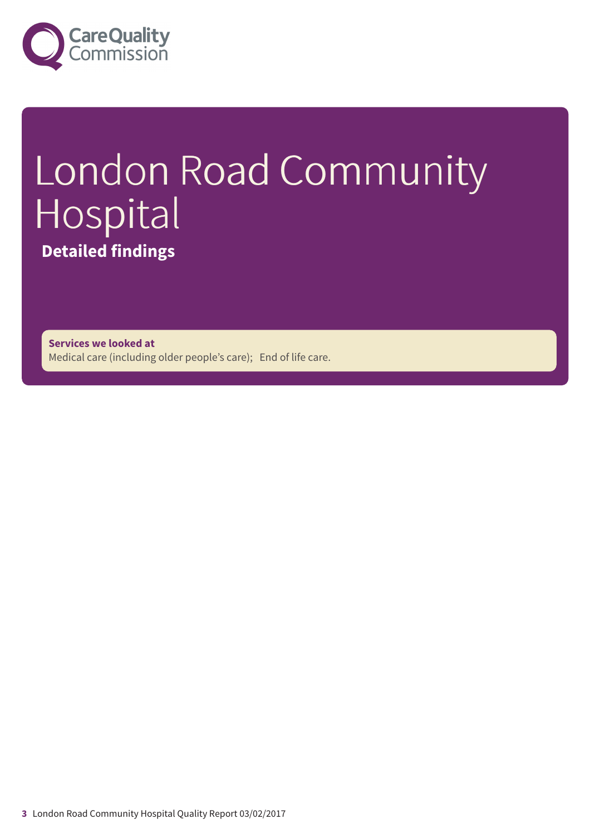

# London Road Community Hospital **Detailed findings**

**Services we looked at** Medical care (including older people's care); End of life care.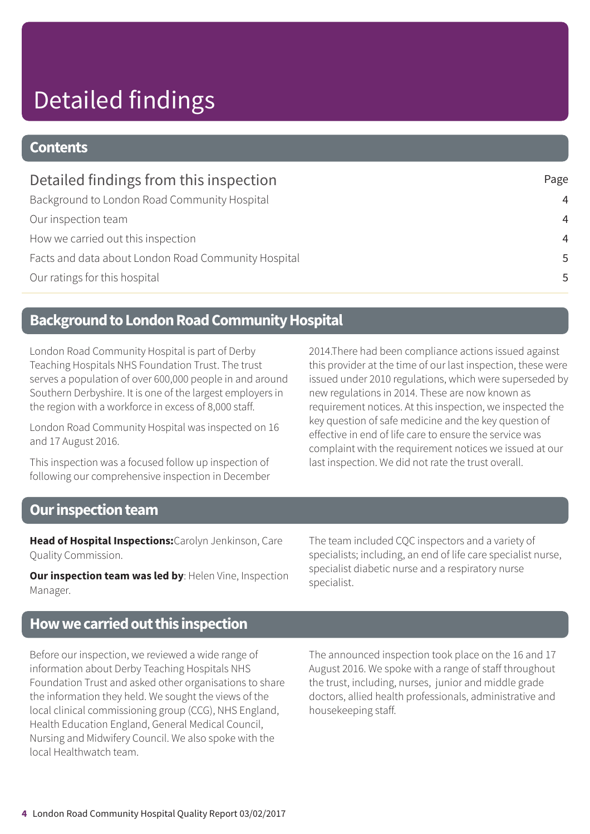# Detailed findings

### **Contents**

| Detailed findings from this inspection              | Page           |
|-----------------------------------------------------|----------------|
| Background to London Road Community Hospital        | $\overline{4}$ |
| Our inspection team                                 | $\overline{4}$ |
| How we carried out this inspection                  | $\overline{4}$ |
| Facts and data about London Road Community Hospital | 5              |
| Our ratings for this hospital                       | 5              |

### **Background to London Road Community Hospital**

London Road Community Hospital is part of Derby Teaching Hospitals NHS Foundation Trust. The trust serves a population of over 600,000 people in and around Southern Derbyshire. It is one of the largest employers in the region with a workforce in excess of 8,000 staff.

London Road Community Hospital was inspected on 16 and 17 August 2016.

This inspection was a focused follow up inspection of following our comprehensive inspection in December 2014.There had been compliance actions issued against this provider at the time of our last inspection, these were issued under 2010 regulations, which were superseded by new regulations in 2014. These are now known as requirement notices. At this inspection, we inspected the key question of safe medicine and the key question of effective in end of life care to ensure the service was complaint with the requirement notices we issued at our last inspection. We did not rate the trust overall.

### **Our inspection team**

**Head of Hospital Inspections:**Carolyn Jenkinson, Care Quality Commission.

**Our inspection team was led by**: Helen Vine, Inspection Manager.

The team included CQC inspectors and a variety of specialists; including, an end of life care specialist nurse, specialist diabetic nurse and a respiratory nurse specialist.

### **Howwecarriedoutthis inspection**

Before our inspection, we reviewed a wide range of information about Derby Teaching Hospitals NHS Foundation Trust and asked other organisations to share the information they held. We sought the views of the local clinical commissioning group (CCG), NHS England, Health Education England, General Medical Council, Nursing and Midwifery Council. We also spoke with the local Healthwatch team.

The announced inspection took place on the 16 and 17 August 2016. We spoke with a range of staff throughout the trust, including, nurses, junior and middle grade doctors, allied health professionals, administrative and housekeeping staff.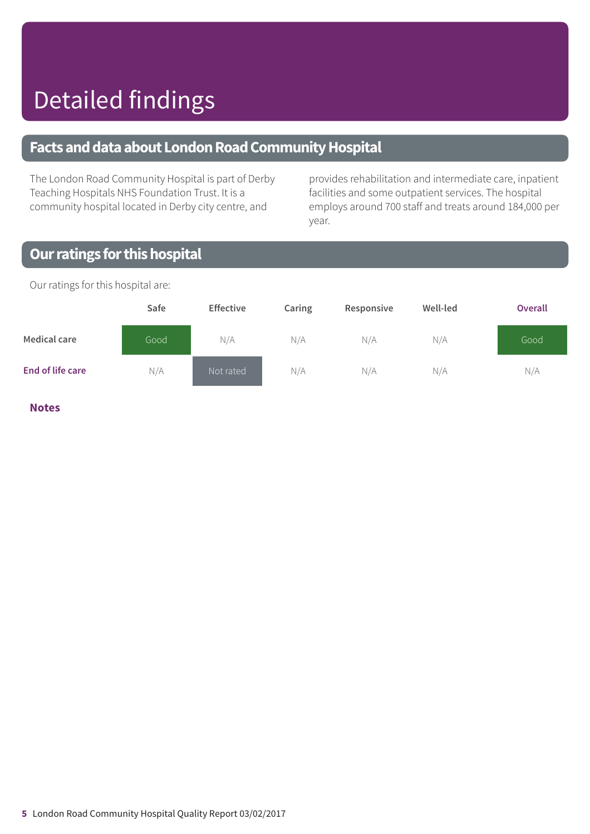### **FactsanddataaboutLondonRoadCommunityHospital**

The London Road Community Hospital is part of Derby Teaching Hospitals NHS Foundation Trust. It is a community hospital located in Derby city centre, and

provides rehabilitation and intermediate care, inpatient facilities and some outpatient services. The hospital employs around 700 staff and treats around 184,000 per year.

### **Our ratings for this hospital**

**Safe Effective Caring Responsive Well-led Overall Medical care** Good N/A N/A N/A N/A Good **End of life care** N/A Not rated N/A N/A N/A N/A

Our ratings for this hospital are:

**Notes**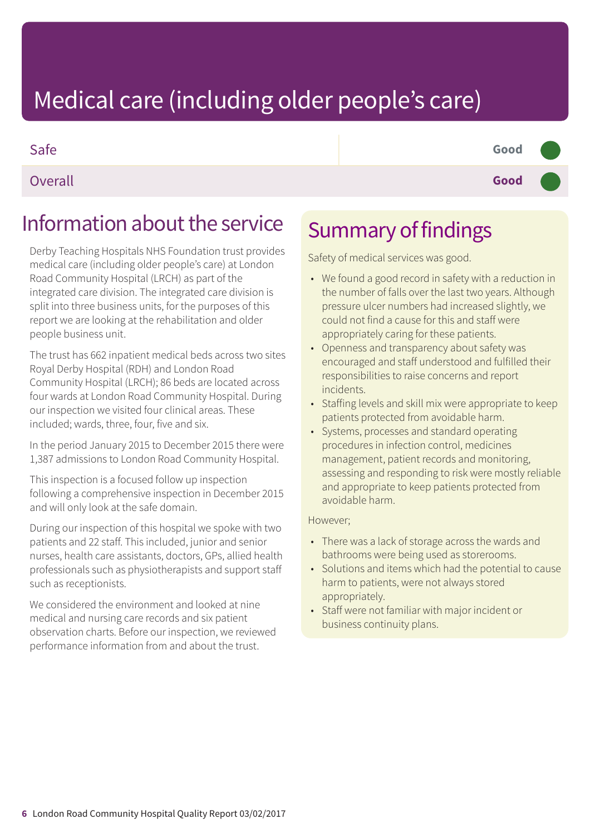### Safe **Good –––**

Overall **Good –––**

### Information about the service

Derby Teaching Hospitals NHS Foundation trust provides medical care (including older people's care) at London Road Community Hospital (LRCH) as part of the integrated care division. The integrated care division is split into three business units, for the purposes of this report we are looking at the rehabilitation and older people business unit.

The trust has 662 inpatient medical beds across two sites Royal Derby Hospital (RDH) and London Road Community Hospital (LRCH); 86 beds are located across four wards at London Road Community Hospital. During our inspection we visited four clinical areas. These included; wards, three, four, five and six.

In the period January 2015 to December 2015 there were

This inspection is a focused follow up inspection following a comprehensive inspection in December 2015 and will only look at the safe domain.

During our inspection of this hospital we spoke with two patients and 22 staff. This included, junior and senior nurses, health care assistants, doctors, GPs, allied health professionals such as physiotherapists and support staff such as receptionists.

We considered the environment and looked at nine medical and nursing care records and six patient observation charts. Before our inspection, we reviewed performance information from and about the trust.

### Summary of findings

Safety of medical services was good.

- We found a good record in safety with a reduction in the number of falls over the last two years. Although pressure ulcer numbers had increased slightly, we could not find a cause for this and staff were appropriately caring for these patients.
- Openness and transparency about safety was encouraged and staff understood and fulfilled their responsibilities to raise concerns and report incidents.
- Staffing levels and skill mix were appropriate to keep patients protected from avoidable harm.
- Systems, processes and standard operating procedures in infection control, medicines management, patient records and monitoring, assessing and responding to risk were mostly reliable and appropriate to keep patients protected from avoidable harm.

#### However;

- There was a lack of storage across the wards and bathrooms were being used as storerooms.
- Solutions and items which had the potential to cause harm to patients, were not always stored appropriately.
- Staff were not familiar with major incident or business continuity plans.

1,387 admissions to London Road Community Hospital.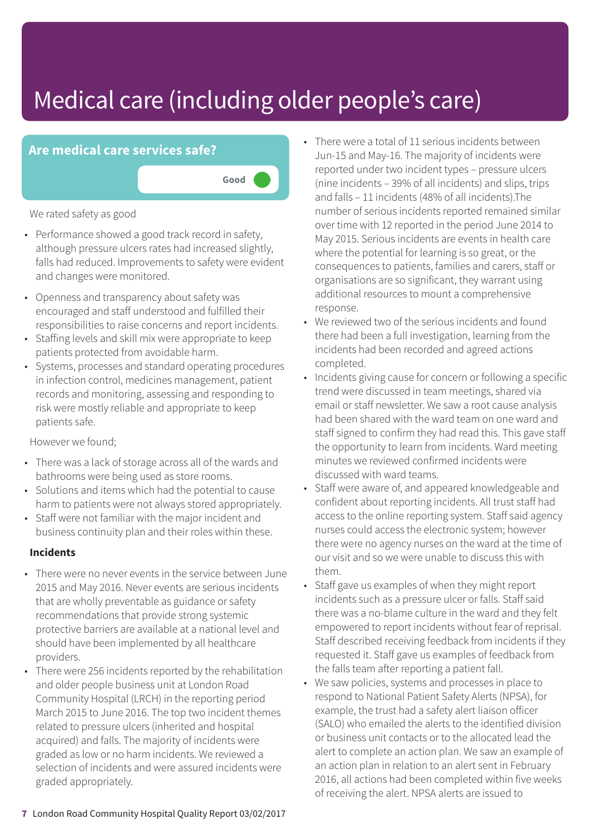

We rated safety as good

- Performance showed a good track record in safety, although pressure ulcers rates had increased slightly, falls had reduced. Improvements to safety were evident and changes were monitored.
- Openness and transparency about safety was encouraged and staff understood and fulfilled their responsibilities to raise concerns and report incidents.
- Staffing levels and skill mix were appropriate to keep patients protected from avoidable harm.
- Systems, processes and standard operating procedures in infection control, medicines management, patient records and monitoring, assessing and responding to risk were mostly reliable and appropriate to keep patients safe.

However we found;

- There was a lack of storage across all of the wards and bathrooms were being used as store rooms.
- Solutions and items which had the potential to cause harm to patients were not always stored appropriately.
- Staff were not familiar with the major incident and business continuity plan and their roles within these.

#### **Incidents**

- There were no never events in the service between June 2015 and May 2016. Never events are serious incidents that are wholly preventable as guidance or safety recommendations that provide strong systemic protective barriers are available at a national level and should have been implemented by all healthcare providers.
- There were 256 incidents reported by the rehabilitation and older people business unit at London Road Community Hospital (LRCH) in the reporting period March 2015 to June 2016. The top two incident themes related to pressure ulcers (inherited and hospital acquired) and falls. The majority of incidents were graded as low or no harm incidents. We reviewed a selection of incidents and were assured incidents were graded appropriately.
- There were a total of 11 serious incidents between Jun-15 and May-16. The majority of incidents were reported under two incident types – pressure ulcers (nine incidents – 39% of all incidents) and slips, trips and falls – 11 incidents (48% of all incidents).The number of serious incidents reported remained similar over time with 12 reported in the period June 2014 to May 2015. Serious incidents are events in health care where the potential for learning is so great, or the consequences to patients, families and carers, staff or organisations are so significant, they warrant using additional resources to mount a comprehensive response.
- We reviewed two of the serious incidents and found there had been a full investigation, learning from the incidents had been recorded and agreed actions completed.
- Incidents giving cause for concern or following a specific trend were discussed in team meetings, shared via email or staff newsletter. We saw a root cause analysis had been shared with the ward team on one ward and staff signed to confirm they had read this. This gave staff the opportunity to learn from incidents. Ward meeting minutes we reviewed confirmed incidents were discussed with ward teams.
- Staff were aware of, and appeared knowledgeable and confident about reporting incidents. All trust staff had access to the online reporting system. Staff said agency nurses could access the electronic system; however there were no agency nurses on the ward at the time of our visit and so we were unable to discuss this with them.
- Staff gave us examples of when they might report incidents such as a pressure ulcer or falls. Staff said there was a no-blame culture in the ward and they felt empowered to report incidents without fear of reprisal. Staff described receiving feedback from incidents if they requested it. Staff gave us examples of feedback from the falls team after reporting a patient fall.
- We saw policies, systems and processes in place to respond to National Patient Safety Alerts (NPSA), for example, the trust had a safety alert liaison officer (SALO) who emailed the alerts to the identified division or business unit contacts or to the allocated lead the alert to complete an action plan. We saw an example of an action plan in relation to an alert sent in February 2016, all actions had been completed within five weeks of receiving the alert. NPSA alerts are issued to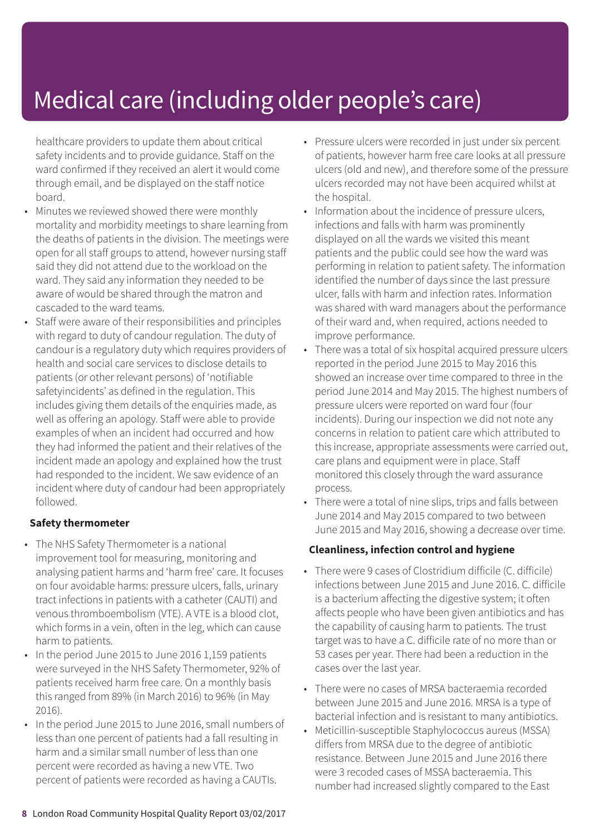healthcare providers to update them about critical safety incidents and to provide guidance. Staff on the ward confirmed if they received an alert it would come through email, and be displayed on the staff notice board.

- Minutes we reviewed showed there were monthly mortality and morbidity meetings to share learning from the deaths of patients in the division. The meetings were open for all staff groups to attend, however nursing staff said they did not attend due to the workload on the ward. They said any information they needed to be aware of would be shared through the matron and cascaded to the ward teams.
- Staff were aware of their responsibilities and principles with regard to duty of candour regulation. The duty of candour is a regulatory duty which requires providers of health and social care services to disclose details to patients (or other relevant persons) of 'notifiable safetyincidents' as defined in the regulation. This includes giving them details of the enquiries made, as well as offering an apology. Staff were able to provide examples of when an incident had occurred and how they had informed the patient and their relatives of the incident made an apology and explained how the trust had responded to the incident. We saw evidence of an incident where duty of candour had been appropriately followed.

#### **Safety thermometer**

- The NHS Safety Thermometer is a national improvement tool for measuring, monitoring and analysing patient harms and 'harm free' care. It focuses on four avoidable harms: pressure ulcers, falls, urinary tract infections in patients with a catheter (CAUTI) and venous thromboembolism (VTE). A VTE is a blood clot, which forms in a vein, often in the leg, which can cause harm to patients.
- In the period June 2015 to June 2016 1,159 patients were surveyed in the NHS Safety Thermometer, 92% of patients received harm free care. On a monthly basis this ranged from 89% (in March 2016) to 96% (in May 2016).
- In the period June 2015 to June 2016, small numbers of less than one percent of patients had a fall resulting in harm and a similar small number of less than one percent were recorded as having a new VTE. Two percent of patients were recorded as having a CAUTIs.
- Pressure ulcers were recorded in just under six percent of patients, however harm free care looks at all pressure ulcers (old and new), and therefore some of the pressure ulcers recorded may not have been acquired whilst at the hospital.
- Information about the incidence of pressure ulcers, infections and falls with harm was prominently displayed on all the wards we visited this meant patients and the public could see how the ward was performing in relation to patient safety. The information identified the number of days since the last pressure ulcer, falls with harm and infection rates. Information was shared with ward managers about the performance of their ward and, when required, actions needed to improve performance.
- There was a total of six hospital acquired pressure ulcers reported in the period June 2015 to May 2016 this showed an increase over time compared to three in the period June 2014 and May 2015. The highest numbers of pressure ulcers were reported on ward four (four incidents). During our inspection we did not note any concerns in relation to patient care which attributed to this increase, appropriate assessments were carried out, care plans and equipment were in place. Staff monitored this closely through the ward assurance process.
- There were a total of nine slips, trips and falls between June 2014 and May 2015 compared to two between June 2015 and May 2016, showing a decrease over time.

#### **Cleanliness, infection control and hygiene**

- There were 9 cases of Clostridium difficile (C. difficile) infections between June 2015 and June 2016. C. difficile is a bacterium affecting the digestive system; it often affects people who have been given antibiotics and has the capability of causing harm to patients. The trust target was to have a C. difficile rate of no more than or 53 cases per year. There had been a reduction in the cases over the last year.
- There were no cases of MRSA bacteraemia recorded between June 2015 and June 2016. MRSA is a type of bacterial infection and is resistant to many antibiotics.
- Meticillin-susceptible Staphylococcus aureus (MSSA) differs from MRSA due to the degree of antibiotic resistance. Between June 2015 and June 2016 there were 3 recoded cases of MSSA bacteraemia. This number had increased slightly compared to the East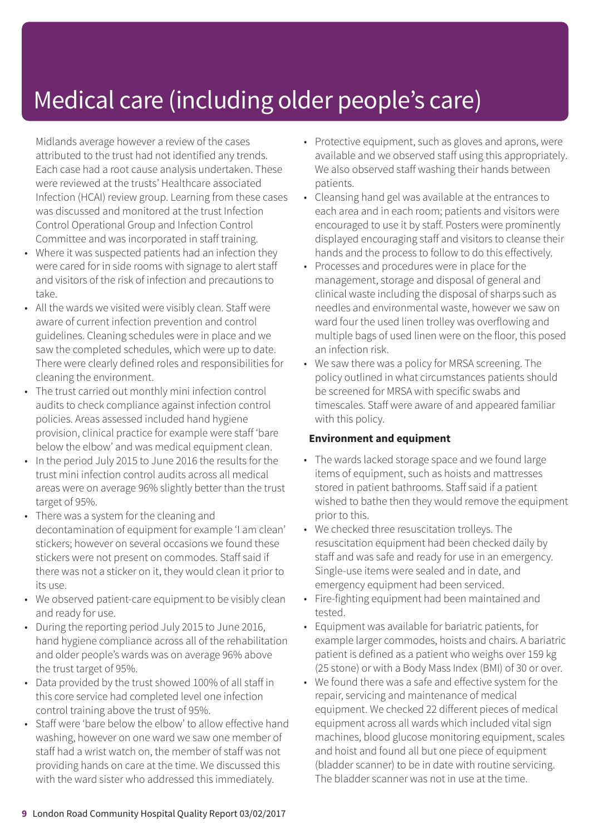Midlands average however a review of the cases attributed to the trust had not identified any trends. Each case had a root cause analysis undertaken. These were reviewed at the trusts' Healthcare associated Infection (HCAI) review group. Learning from these cases was discussed and monitored at the trust Infection Control Operational Group and Infection Control Committee and was incorporated in staff training.

- Where it was suspected patients had an infection they were cared for in side rooms with signage to alert staff and visitors of the risk of infection and precautions to take.
- All the wards we visited were visibly clean. Staff were aware of current infection prevention and control guidelines. Cleaning schedules were in place and we saw the completed schedules, which were up to date. There were clearly defined roles and responsibilities for cleaning the environment.
- The trust carried out monthly mini infection control audits to check compliance against infection control policies. Areas assessed included hand hygiene provision, clinical practice for example were staff 'bare below the elbow' and was medical equipment clean.
- In the period July 2015 to June 2016 the results for the trust mini infection control audits across all medical areas were on average 96% slightly better than the trust target of 95%.
- There was a system for the cleaning and decontamination of equipment for example 'I am clean' stickers; however on several occasions we found these stickers were not present on commodes. Staff said if there was not a sticker on it, they would clean it prior to its use.
- We observed patient-care equipment to be visibly clean and ready for use.
- During the reporting period July 2015 to June 2016, hand hygiene compliance across all of the rehabilitation and older people's wards was on average 96% above the trust target of 95%.
- Data provided by the trust showed 100% of all staff in this core service had completed level one infection control training above the trust of 95%.
- Staff were 'bare below the elbow' to allow effective hand washing, however on one ward we saw one member of staff had a wrist watch on, the member of staff was not providing hands on care at the time. We discussed this with the ward sister who addressed this immediately.
- Protective equipment, such as gloves and aprons, were available and we observed staff using this appropriately. We also observed staff washing their hands between patients.
- Cleansing hand gel was available at the entrances to each area and in each room; patients and visitors were encouraged to use it by staff. Posters were prominently displayed encouraging staff and visitors to cleanse their hands and the process to follow to do this effectively.
- Processes and procedures were in place for the management, storage and disposal of general and clinical waste including the disposal of sharps such as needles and environmental waste, however we saw on ward four the used linen trolley was overflowing and multiple bags of used linen were on the floor, this posed an infection risk.
- We saw there was a policy for MRSA screening. The policy outlined in what circumstances patients should be screened for MRSA with specific swabs and timescales. Staff were aware of and appeared familiar with this policy.

#### **Environment and equipment**

- The wards lacked storage space and we found large items of equipment, such as hoists and mattresses stored in patient bathrooms. Staff said if a patient wished to bathe then they would remove the equipment prior to this.
- We checked three resuscitation trolleys. The resuscitation equipment had been checked daily by staff and was safe and ready for use in an emergency. Single-use items were sealed and in date, and emergency equipment had been serviced.
- Fire-fighting equipment had been maintained and tested.
- Equipment was available for bariatric patients, for example larger commodes, hoists and chairs. A bariatric patient is defined as a patient who weighs over 159 kg (25 stone) or with a Body Mass Index (BMI) of 30 or over.
- We found there was a safe and effective system for the repair, servicing and maintenance of medical equipment. We checked 22 different pieces of medical equipment across all wards which included vital sign machines, blood glucose monitoring equipment, scales and hoist and found all but one piece of equipment (bladder scanner) to be in date with routine servicing. The bladder scanner was not in use at the time.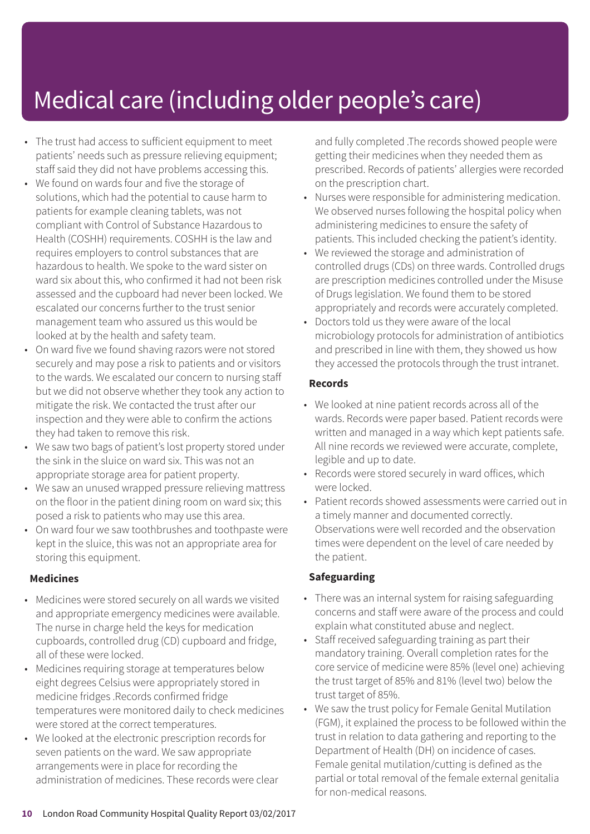- The trust had access to sufficient equipment to meet patients' needs such as pressure relieving equipment; staff said they did not have problems accessing this.
- We found on wards four and five the storage of solutions, which had the potential to cause harm to patients for example cleaning tablets, was not compliant with Control of Substance Hazardous to Health (COSHH) requirements. COSHH is the law and requires employers to control substances that are hazardous to health. We spoke to the ward sister on ward six about this, who confirmed it had not been risk assessed and the cupboard had never been locked. We escalated our concerns further to the trust senior management team who assured us this would be looked at by the health and safety team.
- On ward five we found shaving razors were not stored securely and may pose a risk to patients and or visitors to the wards. We escalated our concern to nursing staff but we did not observe whether they took any action to mitigate the risk. We contacted the trust after our inspection and they were able to confirm the actions they had taken to remove this risk.
- We saw two bags of patient's lost property stored under the sink in the sluice on ward six. This was not an appropriate storage area for patient property.
- We saw an unused wrapped pressure relieving mattress on the floor in the patient dining room on ward six; this posed a risk to patients who may use this area.
- On ward four we saw toothbrushes and toothpaste were kept in the sluice, this was not an appropriate area for storing this equipment.

#### **Medicines**

- Medicines were stored securely on all wards we visited and appropriate emergency medicines were available. The nurse in charge held the keys for medication cupboards, controlled drug (CD) cupboard and fridge, all of these were locked.
- Medicines requiring storage at temperatures below eight degrees Celsius were appropriately stored in medicine fridges .Records confirmed fridge temperatures were monitored daily to check medicines were stored at the correct temperatures.
- We looked at the electronic prescription records for seven patients on the ward. We saw appropriate arrangements were in place for recording the administration of medicines. These records were clear

and fully completed .The records showed people were getting their medicines when they needed them as prescribed. Records of patients' allergies were recorded on the prescription chart.

- Nurses were responsible for administering medication. We observed nurses following the hospital policy when administering medicines to ensure the safety of patients. This included checking the patient's identity.
- We reviewed the storage and administration of controlled drugs (CDs) on three wards. Controlled drugs are prescription medicines controlled under the Misuse of Drugs legislation. We found them to be stored appropriately and records were accurately completed.
- Doctors told us they were aware of the local microbiology protocols for administration of antibiotics and prescribed in line with them, they showed us how they accessed the protocols through the trust intranet.

#### **Records**

- We looked at nine patient records across all of the wards. Records were paper based. Patient records were written and managed in a way which kept patients safe. All nine records we reviewed were accurate, complete, legible and up to date.
- Records were stored securely in ward offices, which were locked.
- Patient records showed assessments were carried out in a timely manner and documented correctly. Observations were well recorded and the observation times were dependent on the level of care needed by the patient.

#### **Safeguarding**

- There was an internal system for raising safeguarding concerns and staff were aware of the process and could explain what constituted abuse and neglect.
- Staff received safeguarding training as part their mandatory training. Overall completion rates for the core service of medicine were 85% (level one) achieving the trust target of 85% and 81% (level two) below the trust target of 85%.
- We saw the trust policy for Female Genital Mutilation (FGM), it explained the process to be followed within the trust in relation to data gathering and reporting to the Department of Health (DH) on incidence of cases. Female genital mutilation/cutting is defined as the partial or total removal of the female external genitalia for non-medical reasons.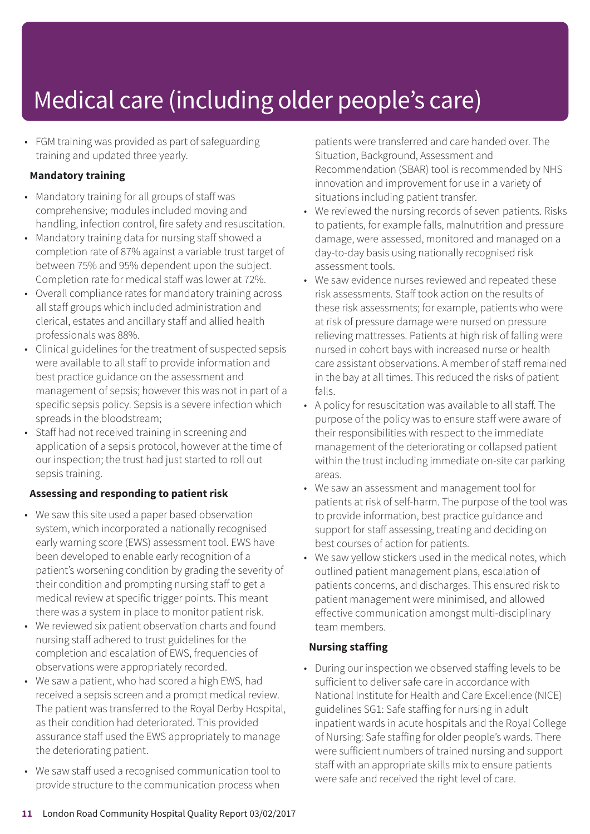• FGM training was provided as part of safeguarding training and updated three yearly.

#### **Mandatory training**

- Mandatory training for all groups of staff was comprehensive; modules included moving and handling, infection control, fire safety and resuscitation.
- Mandatory training data for nursing staff showed a completion rate of 87% against a variable trust target of between 75% and 95% dependent upon the subject. Completion rate for medical staff was lower at 72%.
- Overall compliance rates for mandatory training across all staff groups which included administration and clerical, estates and ancillary staff and allied health professionals was 88%.
- Clinical guidelines for the treatment of suspected sepsis were available to all staff to provide information and best practice guidance on the assessment and management of sepsis; however this was not in part of a specific sepsis policy. Sepsis is a severe infection which spreads in the bloodstream;
- Staff had not received training in screening and application of a sepsis protocol, however at the time of our inspection; the trust had just started to roll out sepsis training.

#### **Assessing and responding to patient risk**

- We saw this site used a paper based observation system, which incorporated a nationally recognised early warning score (EWS) assessment tool. EWS have been developed to enable early recognition of a patient's worsening condition by grading the severity of their condition and prompting nursing staff to get a medical review at specific trigger points. This meant there was a system in place to monitor patient risk.
- We reviewed six patient observation charts and found nursing staff adhered to trust guidelines for the completion and escalation of EWS, frequencies of observations were appropriately recorded.
- We saw a patient, who had scored a high EWS, had received a sepsis screen and a prompt medical review. The patient was transferred to the Royal Derby Hospital, as their condition had deteriorated. This provided assurance staff used the EWS appropriately to manage the deteriorating patient.
- We saw staff used a recognised communication tool to provide structure to the communication process when

patients were transferred and care handed over. The Situation, Background, Assessment and Recommendation (SBAR) tool is recommended by NHS innovation and improvement for use in a variety of situations including patient transfer.

- We reviewed the nursing records of seven patients. Risks to patients, for example falls, malnutrition and pressure damage, were assessed, monitored and managed on a day-to-day basis using nationally recognised risk assessment tools.
- We saw evidence nurses reviewed and repeated these risk assessments. Staff took action on the results of these risk assessments; for example, patients who were at risk of pressure damage were nursed on pressure relieving mattresses. Patients at high risk of falling were nursed in cohort bays with increased nurse or health care assistant observations. A member of staff remained in the bay at all times. This reduced the risks of patient falls.
- A policy for resuscitation was available to all staff. The purpose of the policy was to ensure staff were aware of their responsibilities with respect to the immediate management of the deteriorating or collapsed patient within the trust including immediate on-site car parking areas.
- We saw an assessment and management tool for patients at risk of self-harm. The purpose of the tool was to provide information, best practice guidance and support for staff assessing, treating and deciding on best courses of action for patients.
- We saw yellow stickers used in the medical notes, which outlined patient management plans, escalation of patients concerns, and discharges. This ensured risk to patient management were minimised, and allowed effective communication amongst multi-disciplinary team members.

#### **Nursing staffing**

• During our inspection we observed staffing levels to be sufficient to deliver safe care in accordance with National Institute for Health and Care Excellence (NICE) guidelines SG1: Safe staffing for nursing in adult inpatient wards in acute hospitals and the Royal College of Nursing: Safe staffing for older people's wards. There were sufficient numbers of trained nursing and support staff with an appropriate skills mix to ensure patients were safe and received the right level of care.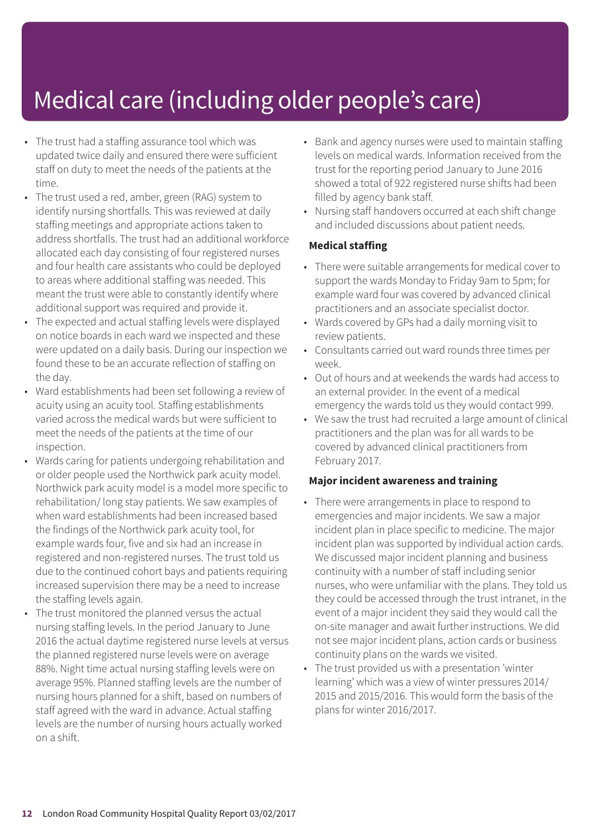- The trust had a staffing assurance tool which was updated twice daily and ensured there were sufficient staff on duty to meet the needs of the patients at the time.
- The trust used a red, amber, green (RAG) system to identify nursing shortfalls. This was reviewed at daily staffing meetings and appropriate actions taken to address shortfalls. The trust had an additional workforce allocated each day consisting of four registered nurses and four health care assistants who could be deployed to areas where additional staffing was needed. This meant the trust were able to constantly identify where additional support was required and provide it.
- The expected and actual staffing levels were displayed on notice boards in each ward we inspected and these were updated on a daily basis. During our inspection we found these to be an accurate reflection of staffing on the day.
- Ward establishments had been set following a review of acuity using an acuity tool. Staffing establishments varied across the medical wards but were sufficient to meet the needs of the patients at the time of our inspection.
- Wards caring for patients undergoing rehabilitation and or older people used the Northwick park acuity model. Northwick park acuity model is a model more specific to rehabilitation/ long stay patients. We saw examples of when ward establishments had been increased based the findings of the Northwick park acuity tool, for example wards four, five and six had an increase in registered and non-registered nurses. The trust told us due to the continued cohort bays and patients requiring increased supervision there may be a need to increase the staffing levels again.
- The trust monitored the planned versus the actual nursing staffing levels. In the period January to June 2016 the actual daytime registered nurse levels at versus the planned registered nurse levels were on average 88%. Night time actual nursing staffing levels were on average 95%. Planned staffing levels are the number of nursing hours planned for a shift, based on numbers of staff agreed with the ward in advance. Actual staffing levels are the number of nursing hours actually worked on a shift.
- Bank and agency nurses were used to maintain staffing levels on medical wards. Information received from the trust for the reporting period January to June 2016 showed a total of 922 registered nurse shifts had been filled by agency bank staff.
- Nursing staff handovers occurred at each shift change and included discussions about patient needs.

#### **Medical staffing**

- There were suitable arrangements for medical cover to support the wards Monday to Friday 9am to 5pm; for example ward four was covered by advanced clinical practitioners and an associate specialist doctor.
- Wards covered by GPs had a daily morning visit to review patients.
- Consultants carried out ward rounds three times per week.
- Out of hours and at weekends the wards had access to an external provider. In the event of a medical emergency the wards told us they would contact 999.
- We saw the trust had recruited a large amount of clinical practitioners and the plan was for all wards to be covered by advanced clinical practitioners from February 2017.

#### **Major incident awareness and training**

- There were arrangements in place to respond to emergencies and major incidents. We saw a major incident plan in place specific to medicine. The major incident plan was supported by individual action cards. We discussed major incident planning and business continuity with a number of staff including senior nurses, who were unfamiliar with the plans. They told us they could be accessed through the trust intranet, in the event of a major incident they said they would call the on-site manager and await further instructions. We did not see major incident plans, action cards or business continuity plans on the wards we visited.
- The trust provided us with a presentation 'winter learning' which was a view of winter pressures 2014/ 2015 and 2015/2016. This would form the basis of the plans for winter 2016/2017.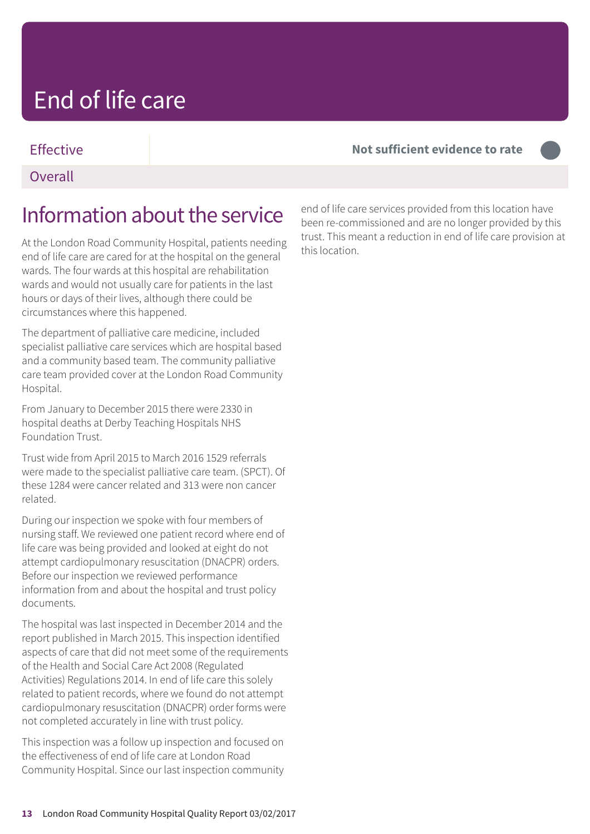### Effective **Not sufficient evidence to rate –––**

#### **Overall**

### Information about the service

At the London Road Community Hospital, patients needing end of life care are cared for at the hospital on the general wards. The four wards at this hospital are rehabilitation wards and would not usually care for patients in the last hours or days of their lives, although there could be circumstances where this happened.

The department of palliative care medicine, included specialist palliative care services which are hospital based and a community based team. The community palliative care team provided cover at the London Road Community Hospital.

From January to December 2015 there were 2330 in hospital deaths at Derby Teaching Hospitals NHS Foundation Trust.

Trust wide from April 2015 to March 2016 1529 referrals were made to the specialist palliative care team. (SPCT). Of these 1284 were cancer related and 313 were non cancer related.

During our inspection we spoke with four members of nursing staff. We reviewed one patient record where end of life care was being provided and looked at eight do not attempt cardiopulmonary resuscitation (DNACPR) orders. Before our inspection we reviewed performance information from and about the hospital and trust policy documents.

The hospital was last inspected in December 2014 and the report published in March 2015. This inspection identified aspects of care that did not meet some of the requirements of the Health and Social Care Act 2008 (Regulated Activities) Regulations 2014. In end of life care this solely related to patient records, where we found do not attempt cardiopulmonary resuscitation (DNACPR) order forms were not completed accurately in line with trust policy.

This inspection was a follow up inspection and focused on the effectiveness of end of life care at London Road Community Hospital. Since our last inspection community

end of life care services provided from this location have been re-commissioned and are no longer provided by this trust. This meant a reduction in end of life care provision at this location.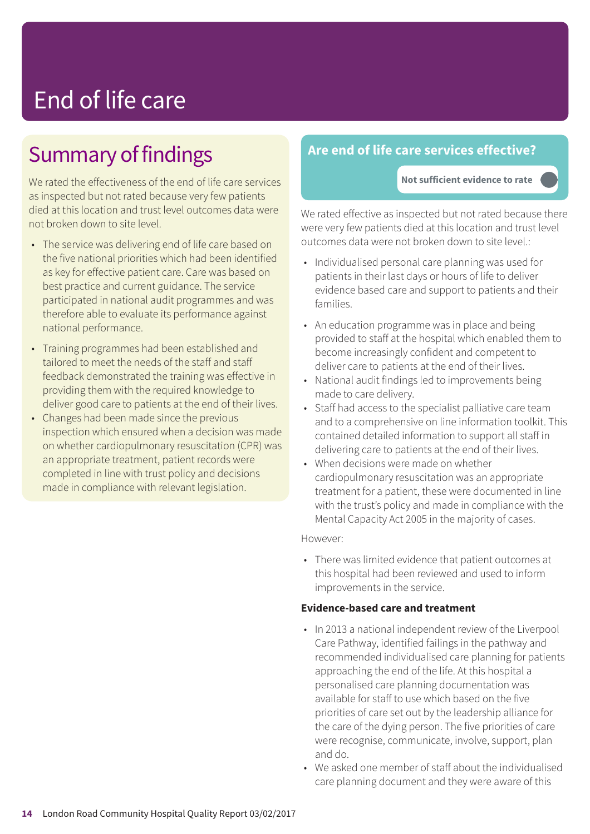### Summary of findings

We rated the effectiveness of the end of life care services as inspected but not rated because very few patients died at this location and trust level outcomes data were not broken down to site level.

- The service was delivering end of life care based on the five national priorities which had been identified as key for effective patient care. Care was based on best practice and current guidance. The service participated in national audit programmes and was therefore able to evaluate its performance against national performance.
- Training programmes had been established and tailored to meet the needs of the staff and staff feedback demonstrated the training was effective in providing them with the required knowledge to deliver good care to patients at the end of their lives.
- Changes had been made since the previous inspection which ensured when a decision was made on whether cardiopulmonary resuscitation (CPR) was an appropriate treatment, patient records were completed in line with trust policy and decisions made in compliance with relevant legislation.

### **Are end of life care services effective?**

**Not sufficient evidence to rate –––**

We rated effective as inspected but not rated because there were very few patients died at this location and trust level outcomes data were not broken down to site level.:

- Individualised personal care planning was used for patients in their last days or hours of life to deliver evidence based care and support to patients and their families.
- An education programme was in place and being provided to staff at the hospital which enabled them to become increasingly confident and competent to deliver care to patients at the end of their lives.
- National audit findings led to improvements being made to care delivery.
- Staff had access to the specialist palliative care team and to a comprehensive on line information toolkit. This contained detailed information to support all staff in delivering care to patients at the end of their lives.
- When decisions were made on whether cardiopulmonary resuscitation was an appropriate treatment for a patient, these were documented in line with the trust's policy and made in compliance with the Mental Capacity Act 2005 in the majority of cases.

#### However:

• There was limited evidence that patient outcomes at this hospital had been reviewed and used to inform improvements in the service.

#### **Evidence-based care and treatment**

- In 2013 a national independent review of the Liverpool Care Pathway, identified failings in the pathway and recommended individualised care planning for patients approaching the end of the life. At this hospital a personalised care planning documentation was available for staff to use which based on the five priorities of care set out by the leadership alliance for the care of the dying person. The five priorities of care were recognise, communicate, involve, support, plan and do.
- We asked one member of staff about the individualised care planning document and they were aware of this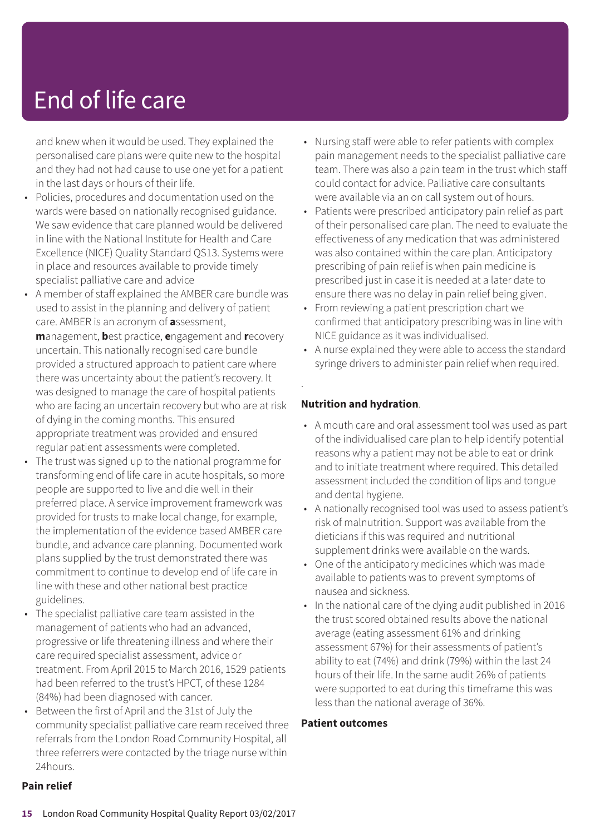and knew when it would be used. They explained the personalised care plans were quite new to the hospital and they had not had cause to use one yet for a patient in the last days or hours of their life.

- Policies, procedures and documentation used on the wards were based on nationally recognised guidance. We saw evidence that care planned would be delivered in line with the National Institute for Health and Care Excellence (NICE) Quality Standard QS13. Systems were in place and resources available to provide timely specialist palliative care and advice
- A member of staff explained the AMBER care bundle was used to assist in the planning and delivery of patient care. AMBER is an acronym of **a**ssessment, **m**anagement, **b**est practice, **e**ngagement and **r**ecovery uncertain. This nationally recognised care bundle provided a structured approach to patient care where there was uncertainty about the patient's recovery. It was designed to manage the care of hospital patients who are facing an uncertain recovery but who are at risk of dying in the coming months. This ensured appropriate treatment was provided and ensured regular patient assessments were completed.
- The trust was signed up to the national programme for transforming end of life care in acute hospitals, so more people are supported to live and die well in their preferred place. A service improvement framework was provided for trusts to make local change, for example, the implementation of the evidence based AMBER care bundle, and advance care planning. Documented work plans supplied by the trust demonstrated there was commitment to continue to develop end of life care in line with these and other national best practice guidelines.
- The specialist palliative care team assisted in the management of patients who had an advanced, progressive or life threatening illness and where their care required specialist assessment, advice or treatment. From April 2015 to March 2016, 1529 patients had been referred to the trust's HPCT, of these 1284 (84%) had been diagnosed with cancer.
- Between the first of April and the 31st of July the community specialist palliative care ream received three referrals from the London Road Community Hospital, all three referrers were contacted by the triage nurse within 24hours.
- Nursing staff were able to refer patients with complex pain management needs to the specialist palliative care team. There was also a pain team in the trust which staff could contact for advice. Palliative care consultants were available via an on call system out of hours.
- Patients were prescribed anticipatory pain relief as part of their personalised care plan. The need to evaluate the effectiveness of any medication that was administered was also contained within the care plan. Anticipatory prescribing of pain relief is when pain medicine is prescribed just in case it is needed at a later date to ensure there was no delay in pain relief being given.
- From reviewing a patient prescription chart we confirmed that anticipatory prescribing was in line with NICE guidance as it was individualised.
- A nurse explained they were able to access the standard syringe drivers to administer pain relief when required.

#### **Nutrition and hydration**.

.

- A mouth care and oral assessment tool was used as part of the individualised care plan to help identify potential reasons why a patient may not be able to eat or drink and to initiate treatment where required. This detailed assessment included the condition of lips and tongue and dental hygiene.
- A nationally recognised tool was used to assess patient's risk of malnutrition. Support was available from the dieticians if this was required and nutritional supplement drinks were available on the wards.
- One of the anticipatory medicines which was made available to patients was to prevent symptoms of nausea and sickness.
- In the national care of the dying audit published in 2016 the trust scored obtained results above the national average (eating assessment 61% and drinking assessment 67%) for their assessments of patient's ability to eat (74%) and drink (79%) within the last 24 hours of their life. In the same audit 26% of patients were supported to eat during this timeframe this was less than the national average of 36%.

#### **Patient outcomes**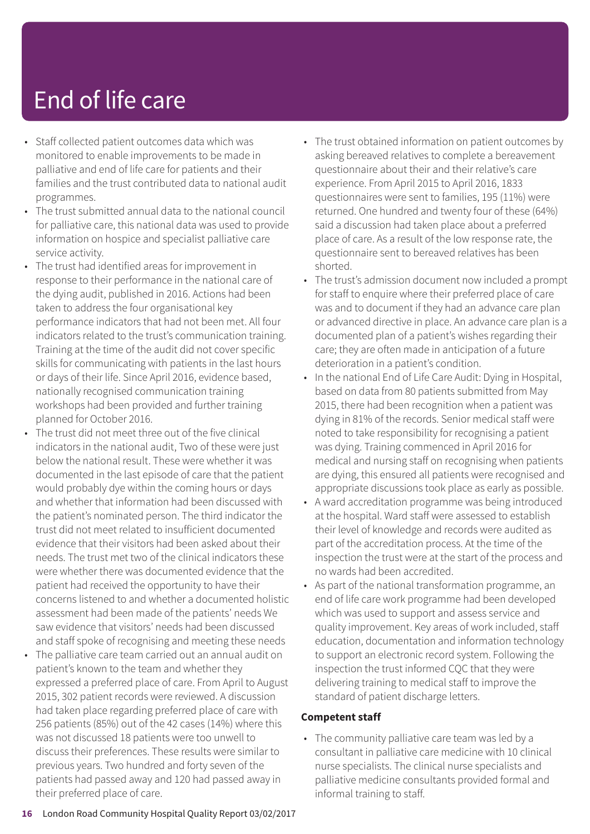- Staff collected patient outcomes data which was monitored to enable improvements to be made in palliative and end of life care for patients and their families and the trust contributed data to national audit programmes.
- The trust submitted annual data to the national council for palliative care, this national data was used to provide information on hospice and specialist palliative care service activity.
- The trust had identified areas for improvement in response to their performance in the national care of the dying audit, published in 2016. Actions had been taken to address the four organisational key performance indicators that had not been met. All four indicators related to the trust's communication training. Training at the time of the audit did not cover specific skills for communicating with patients in the last hours or days of their life. Since April 2016, evidence based, nationally recognised communication training workshops had been provided and further training planned for October 2016.
- The trust did not meet three out of the five clinical indicators in the national audit, Two of these were just below the national result. These were whether it was documented in the last episode of care that the patient would probably dye within the coming hours or days and whether that information had been discussed with the patient's nominated person. The third indicator the trust did not meet related to insufficient documented evidence that their visitors had been asked about their needs. The trust met two of the clinical indicators these were whether there was documented evidence that the patient had received the opportunity to have their concerns listened to and whether a documented holistic assessment had been made of the patients' needs We saw evidence that visitors' needs had been discussed and staff spoke of recognising and meeting these needs
- The palliative care team carried out an annual audit on patient's known to the team and whether they expressed a preferred place of care. From April to August 2015, 302 patient records were reviewed. A discussion had taken place regarding preferred place of care with 256 patients (85%) out of the 42 cases (14%) where this was not discussed 18 patients were too unwell to discuss their preferences. These results were similar to previous years. Two hundred and forty seven of the patients had passed away and 120 had passed away in their preferred place of care.
- The trust obtained information on patient outcomes by asking bereaved relatives to complete a bereavement questionnaire about their and their relative's care experience. From April 2015 to April 2016, 1833 questionnaires were sent to families, 195 (11%) were returned. One hundred and twenty four of these (64%) said a discussion had taken place about a preferred place of care. As a result of the low response rate, the questionnaire sent to bereaved relatives has been shorted.
- The trust's admission document now included a prompt for staff to enquire where their preferred place of care was and to document if they had an advance care plan or advanced directive in place. An advance care plan is a documented plan of a patient's wishes regarding their care; they are often made in anticipation of a future deterioration in a patient's condition.
- In the national End of Life Care Audit: Dying in Hospital, based on data from 80 patients submitted from May 2015, there had been recognition when a patient was dying in 81% of the records. Senior medical staff were noted to take responsibility for recognising a patient was dying. Training commenced in April 2016 for medical and nursing staff on recognising when patients are dying, this ensured all patients were recognised and appropriate discussions took place as early as possible.
- A ward accreditation programme was being introduced at the hospital. Ward staff were assessed to establish their level of knowledge and records were audited as part of the accreditation process. At the time of the inspection the trust were at the start of the process and no wards had been accredited.
- As part of the national transformation programme, an end of life care work programme had been developed which was used to support and assess service and quality improvement. Key areas of work included, staff education, documentation and information technology to support an electronic record system. Following the inspection the trust informed CQC that they were delivering training to medical staff to improve the standard of patient discharge letters.

#### **Competent staff**

• The community palliative care team was led by a consultant in palliative care medicine with 10 clinical nurse specialists. The clinical nurse specialists and palliative medicine consultants provided formal and informal training to staff.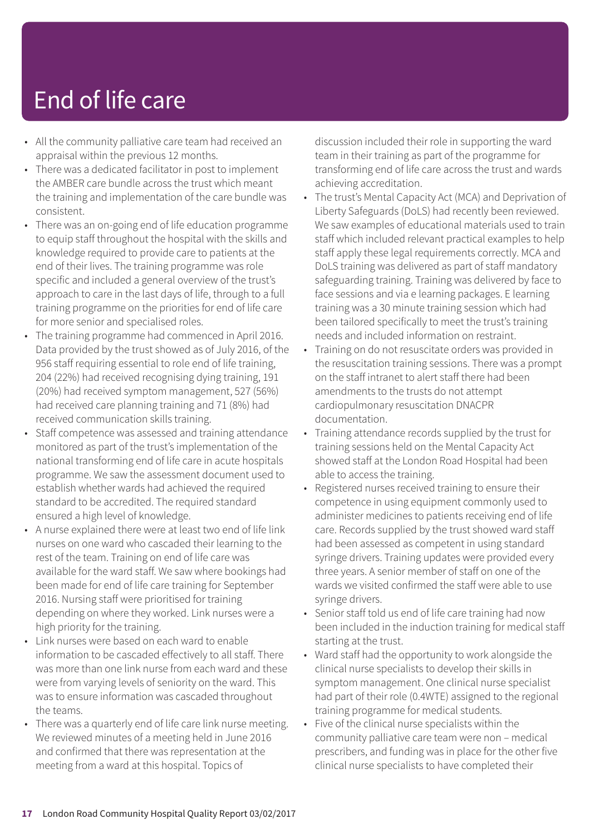- All the community palliative care team had received an appraisal within the previous 12 months.
- There was a dedicated facilitator in post to implement the AMBER care bundle across the trust which meant the training and implementation of the care bundle was consistent.
- There was an on-going end of life education programme to equip staff throughout the hospital with the skills and knowledge required to provide care to patients at the end of their lives. The training programme was role specific and included a general overview of the trust's approach to care in the last days of life, through to a full training programme on the priorities for end of life care for more senior and specialised roles.
- The training programme had commenced in April 2016. Data provided by the trust showed as of July 2016, of the 956 staff requiring essential to role end of life training, 204 (22%) had received recognising dying training, 191 (20%) had received symptom management, 527 (56%) had received care planning training and 71 (8%) had received communication skills training.
- Staff competence was assessed and training attendance monitored as part of the trust's implementation of the national transforming end of life care in acute hospitals programme. We saw the assessment document used to establish whether wards had achieved the required standard to be accredited. The required standard ensured a high level of knowledge.
- A nurse explained there were at least two end of life link nurses on one ward who cascaded their learning to the rest of the team. Training on end of life care was available for the ward staff. We saw where bookings had been made for end of life care training for September 2016. Nursing staff were prioritised for training depending on where they worked. Link nurses were a high priority for the training.
- Link nurses were based on each ward to enable information to be cascaded effectively to all staff. There was more than one link nurse from each ward and these were from varying levels of seniority on the ward. This was to ensure information was cascaded throughout the teams.
- There was a quarterly end of life care link nurse meeting. We reviewed minutes of a meeting held in June 2016 and confirmed that there was representation at the meeting from a ward at this hospital. Topics of

discussion included their role in supporting the ward team in their training as part of the programme for transforming end of life care across the trust and wards achieving accreditation.

- The trust's Mental Capacity Act (MCA) and Deprivation of Liberty Safeguards (DoLS) had recently been reviewed. We saw examples of educational materials used to train staff which included relevant practical examples to help staff apply these legal requirements correctly. MCA and DoLS training was delivered as part of staff mandatory safeguarding training. Training was delivered by face to face sessions and via e learning packages. E learning training was a 30 minute training session which had been tailored specifically to meet the trust's training needs and included information on restraint.
- Training on do not resuscitate orders was provided in the resuscitation training sessions. There was a prompt on the staff intranet to alert staff there had been amendments to the trusts do not attempt cardiopulmonary resuscitation DNACPR documentation.
- Training attendance records supplied by the trust for training sessions held on the Mental Capacity Act showed staff at the London Road Hospital had been able to access the training.
- Registered nurses received training to ensure their competence in using equipment commonly used to administer medicines to patients receiving end of life care. Records supplied by the trust showed ward staff had been assessed as competent in using standard syringe drivers. Training updates were provided every three years. A senior member of staff on one of the wards we visited confirmed the staff were able to use syringe drivers.
- Senior staff told us end of life care training had now been included in the induction training for medical staff starting at the trust.
- Ward staff had the opportunity to work alongside the clinical nurse specialists to develop their skills in symptom management. One clinical nurse specialist had part of their role (0.4WTE) assigned to the regional training programme for medical students.
- Five of the clinical nurse specialists within the community palliative care team were non – medical prescribers, and funding was in place for the other five clinical nurse specialists to have completed their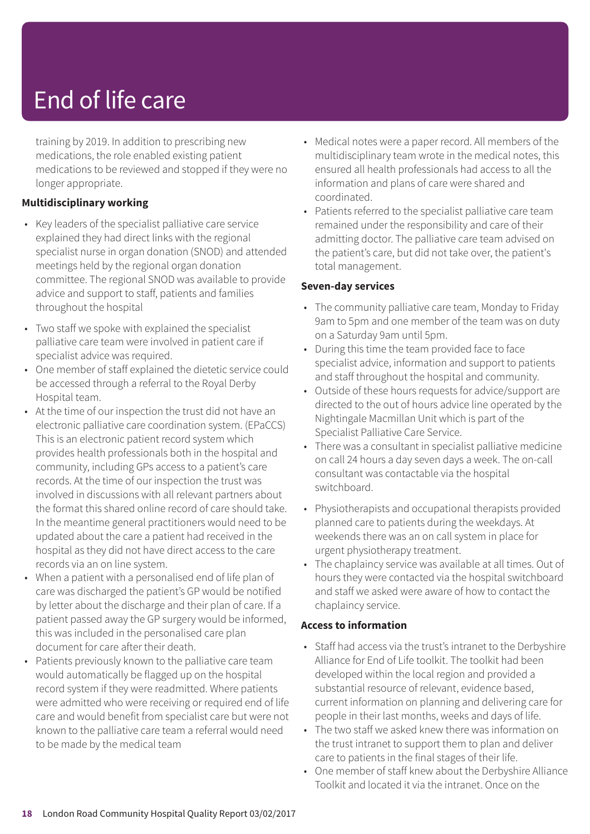training by 2019. In addition to prescribing new medications, the role enabled existing patient medications to be reviewed and stopped if they were no longer appropriate.

#### **Multidisciplinary working**

- Key leaders of the specialist palliative care service explained they had direct links with the regional specialist nurse in organ donation (SNOD) and attended meetings held by the regional organ donation committee. The regional SNOD was available to provide advice and support to staff, patients and families throughout the hospital
- Two staff we spoke with explained the specialist palliative care team were involved in patient care if specialist advice was required.
- One member of staff explained the dietetic service could be accessed through a referral to the Royal Derby Hospital team.
- At the time of our inspection the trust did not have an electronic palliative care coordination system. (EPaCCS) This is an electronic patient record system which provides health professionals both in the hospital and community, including GPs access to a patient's care records. At the time of our inspection the trust was involved in discussions with all relevant partners about the format this shared online record of care should take. In the meantime general practitioners would need to be updated about the care a patient had received in the hospital as they did not have direct access to the care records via an on line system.
- When a patient with a personalised end of life plan of care was discharged the patient's GP would be notified by letter about the discharge and their plan of care. If a patient passed away the GP surgery would be informed, this was included in the personalised care plan document for care after their death.
- Patients previously known to the palliative care team would automatically be flagged up on the hospital record system if they were readmitted. Where patients were admitted who were receiving or required end of life care and would benefit from specialist care but were not known to the palliative care team a referral would need to be made by the medical team
- Medical notes were a paper record. All members of the multidisciplinary team wrote in the medical notes, this ensured all health professionals had access to all the information and plans of care were shared and coordinated.
- Patients referred to the specialist palliative care team remained under the responsibility and care of their admitting doctor. The palliative care team advised on the patient's care, but did not take over, the patient's total management.

#### **Seven-day services**

- The community palliative care team, Monday to Friday 9am to 5pm and one member of the team was on duty on a Saturday 9am until 5pm.
- During this time the team provided face to face specialist advice, information and support to patients and staff throughout the hospital and community.
- Outside of these hours requests for advice/support are directed to the out of hours advice line operated by the Nightingale Macmillan Unit which is part of the Specialist Palliative Care Service.
- There was a consultant in specialist palliative medicine on call 24 hours a day seven days a week. The on-call consultant was contactable via the hospital switchboard.
- Physiotherapists and occupational therapists provided planned care to patients during the weekdays. At weekends there was an on call system in place for urgent physiotherapy treatment.
- The chaplaincy service was available at all times. Out of hours they were contacted via the hospital switchboard and staff we asked were aware of how to contact the chaplaincy service.

#### **Access to information**

- Staff had access via the trust's intranet to the Derbyshire Alliance for End of Life toolkit. The toolkit had been developed within the local region and provided a substantial resource of relevant, evidence based, current information on planning and delivering care for people in their last months, weeks and days of life.
- The two staff we asked knew there was information on the trust intranet to support them to plan and deliver care to patients in the final stages of their life.
- One member of staff knew about the Derbyshire Alliance Toolkit and located it via the intranet. Once on the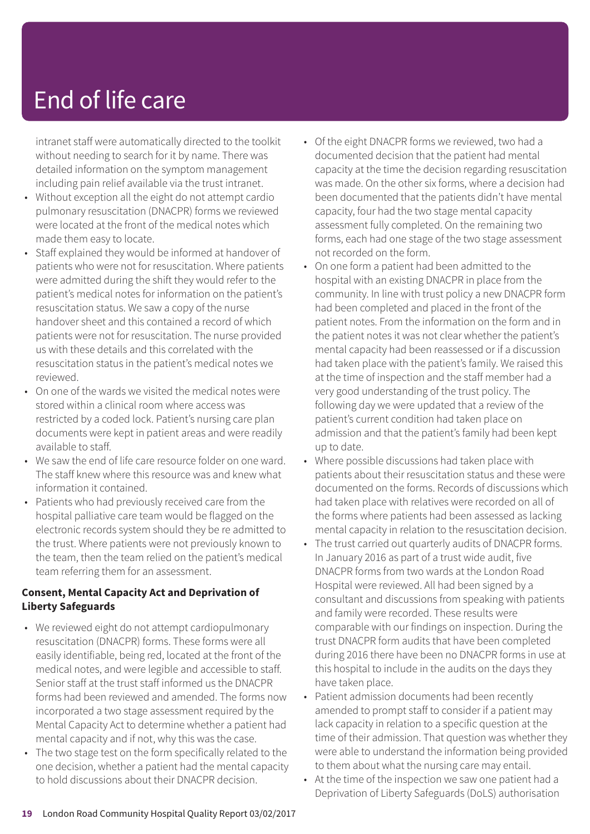intranet staff were automatically directed to the toolkit without needing to search for it by name. There was detailed information on the symptom management including pain relief available via the trust intranet.

- Without exception all the eight do not attempt cardio pulmonary resuscitation (DNACPR) forms we reviewed were located at the front of the medical notes which made them easy to locate.
- Staff explained they would be informed at handover of patients who were not for resuscitation. Where patients were admitted during the shift they would refer to the patient's medical notes for information on the patient's resuscitation status. We saw a copy of the nurse handover sheet and this contained a record of which patients were not for resuscitation. The nurse provided us with these details and this correlated with the resuscitation status in the patient's medical notes we reviewed.
- On one of the wards we visited the medical notes were stored within a clinical room where access was restricted by a coded lock. Patient's nursing care plan documents were kept in patient areas and were readily available to staff.
- We saw the end of life care resource folder on one ward. The staff knew where this resource was and knew what information it contained.
- Patients who had previously received care from the hospital palliative care team would be flagged on the electronic records system should they be re admitted to the trust. Where patients were not previously known to the team, then the team relied on the patient's medical team referring them for an assessment.

#### **Consent, Mental Capacity Act and Deprivation of Liberty Safeguards**

- We reviewed eight do not attempt cardiopulmonary resuscitation (DNACPR) forms. These forms were all easily identifiable, being red, located at the front of the medical notes, and were legible and accessible to staff. Senior staff at the trust staff informed us the DNACPR forms had been reviewed and amended. The forms now incorporated a two stage assessment required by the Mental Capacity Act to determine whether a patient had mental capacity and if not, why this was the case.
- The two stage test on the form specifically related to the one decision, whether a patient had the mental capacity to hold discussions about their DNACPR decision.
- Of the eight DNACPR forms we reviewed, two had a documented decision that the patient had mental capacity at the time the decision regarding resuscitation was made. On the other six forms, where a decision had been documented that the patients didn't have mental capacity, four had the two stage mental capacity assessment fully completed. On the remaining two forms, each had one stage of the two stage assessment not recorded on the form.
- On one form a patient had been admitted to the hospital with an existing DNACPR in place from the community. In line with trust policy a new DNACPR form had been completed and placed in the front of the patient notes. From the information on the form and in the patient notes it was not clear whether the patient's mental capacity had been reassessed or if a discussion had taken place with the patient's family. We raised this at the time of inspection and the staff member had a very good understanding of the trust policy. The following day we were updated that a review of the patient's current condition had taken place on admission and that the patient's family had been kept up to date.
- Where possible discussions had taken place with patients about their resuscitation status and these were documented on the forms. Records of discussions which had taken place with relatives were recorded on all of the forms where patients had been assessed as lacking mental capacity in relation to the resuscitation decision.
- The trust carried out quarterly audits of DNACPR forms. In January 2016 as part of a trust wide audit, five DNACPR forms from two wards at the London Road Hospital were reviewed. All had been signed by a consultant and discussions from speaking with patients and family were recorded. These results were comparable with our findings on inspection. During the trust DNACPR form audits that have been completed during 2016 there have been no DNACPR forms in use at this hospital to include in the audits on the days they have taken place.
- Patient admission documents had been recently amended to prompt staff to consider if a patient may lack capacity in relation to a specific question at the time of their admission. That question was whether they were able to understand the information being provided to them about what the nursing care may entail.
- At the time of the inspection we saw one patient had a Deprivation of Liberty Safeguards (DoLS) authorisation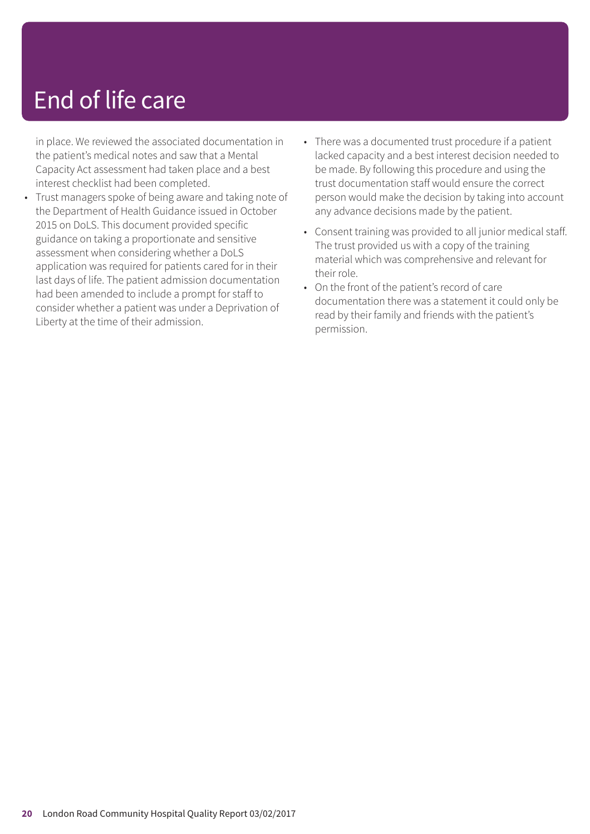in place. We reviewed the associated documentation in the patient's medical notes and saw that a Mental Capacity Act assessment had taken place and a best interest checklist had been completed.

- Trust managers spoke of being aware and taking note of the Department of Health Guidance issued in October 2015 on DoLS. This document provided specific guidance on taking a proportionate and sensitive assessment when considering whether a DoLS application was required for patients cared for in their last days of life. The patient admission documentation had been amended to include a prompt for staff to consider whether a patient was under a Deprivation of Liberty at the time of their admission.
- There was a documented trust procedure if a patient lacked capacity and a best interest decision needed to be made. By following this procedure and using the trust documentation staff would ensure the correct person would make the decision by taking into account any advance decisions made by the patient.
- Consent training was provided to all junior medical staff. The trust provided us with a copy of the training material which was comprehensive and relevant for their role.
- On the front of the patient's record of care documentation there was a statement it could only be read by their family and friends with the patient's permission.